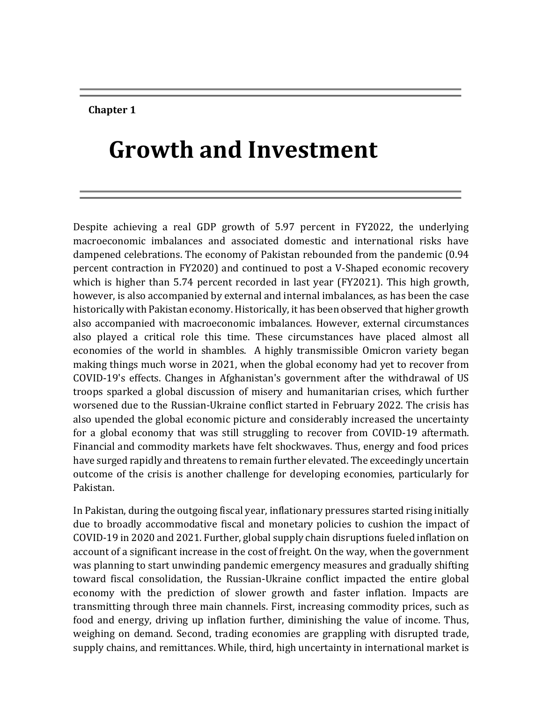#### **Chapter 1**

# **Growth and Investment**

Despite achieving a real GDP growth of 5.97 percent in FY2022, the underlying macroeconomic imbalances and associated domestic and international risks have dampened celebrations. The economy of Pakistan rebounded from the pandemic (0.94 percent contraction in FY2020) and continued to post a V-Shaped economic recovery which is higher than 5.74 percent recorded in last year (FY2021). This high growth, however, is also accompanied by external and internal imbalances, as has been the case historically with Pakistan economy. Historically, it has been observed that higher growth also accompanied with macroeconomic imbalances. However, external circumstances also played a critical role this time. These circumstances have placed almost all economies of the world in shambles. A highly transmissible Omicron variety began making things much worse in 2021, when the global economy had yet to recover from COVID-19's effects. Changes in Afghanistan's government after the withdrawal of US troops sparked a global discussion of misery and humanitarian crises, which further worsened due to the Russian-Ukraine conflict started in February 2022. The crisis has also upended the global economic picture and considerably increased the uncertainty for a global economy that was still struggling to recover from COVID-19 aftermath. Financial and commodity markets have felt shockwaves. Thus, energy and food prices have surged rapidly and threatens to remain further elevated. The exceedingly uncertain outcome of the crisis is another challenge for developing economies, particularly for Pakistan.

In Pakistan, during the outgoing fiscal year, inflationary pressures started rising initially due to broadly accommodative fiscal and monetary policies to cushion the impact of COVID-19 in 2020 and 2021. Further, global supply chain disruptions fueled inflation on account of a significant increase in the cost of freight. On the way, when the government was planning to start unwinding pandemic emergency measures and gradually shifting toward fiscal consolidation, the Russian-Ukraine conflict impacted the entire global economy with the prediction of slower growth and faster inflation. Impacts are transmitting through three main channels. First, increasing commodity prices, such as food and energy, driving up inflation further, diminishing the value of income. Thus, weighing on demand. Second, trading economies are grappling with disrupted trade, supply chains, and remittances. While, third, high uncertainty in international market is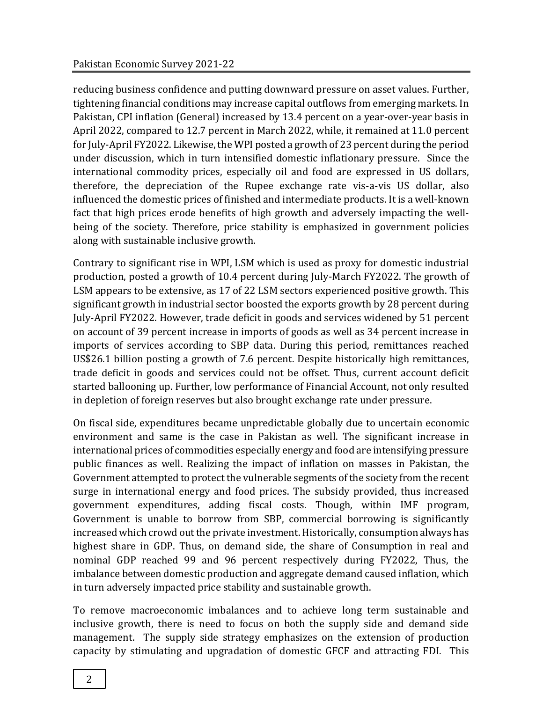reducing business confidence and putting downward pressure on asset values. Further, tightening financial conditions may increase capital outflows from emerging markets. In Pakistan, CPI inflation (General) increased by 13.4 percent on a year-over-year basis in April 2022, compared to 12.7 percent in March 2022, while, it remained at 11.0 percent for July-April FY2022. Likewise, the WPI posted a growth of 23 percent during the period under discussion, which in turn intensified domestic inflationary pressure. Since the international commodity prices, especially oil and food are expressed in US dollars, therefore, the depreciation of the Rupee exchange rate vis-a-vis US dollar, also influenced the domestic prices of finished and intermediate products. It is a well-known fact that high prices erode benefits of high growth and adversely impacting the wellbeing of the society. Therefore, price stability is emphasized in government policies along with sustainable inclusive growth.

Contrary to significant rise in WPI, LSM which is used as proxy for domestic industrial production, posted a growth of 10.4 percent during July-March FY2022. The growth of LSM appears to be extensive, as 17 of 22 LSM sectors experienced positive growth. This significant growth in industrial sector boosted the exports growth by 28 percent during July-April FY2022. However, trade deficit in goods and services widened by 51 percent on account of 39 percent increase in imports of goods as well as 34 percent increase in imports of services according to SBP data. During this period, remittances reached US\$26.1 billion posting a growth of 7.6 percent. Despite historically high remittances, trade deficit in goods and services could not be offset. Thus, current account deficit started ballooning up. Further, low performance of Financial Account, not only resulted in depletion of foreign reserves but also brought exchange rate under pressure.

On fiscal side, expenditures became unpredictable globally due to uncertain economic environment and same is the case in Pakistan as well. The significant increase in international prices of commodities especially energy and food are intensifying pressure public finances as well. Realizing the impact of inflation on masses in Pakistan, the Government attempted to protect the vulnerable segments of the society from the recent surge in international energy and food prices. The subsidy provided, thus increased government expenditures, adding fiscal costs. Though, within IMF program, Government is unable to borrow from SBP, commercial borrowing is significantly increased which crowd out the private investment. Historically, consumption always has highest share in GDP. Thus, on demand side, the share of Consumption in real and nominal GDP reached 99 and 96 percent respectively during FY2022, Thus, the imbalance between domestic production and aggregate demand caused inflation, which in turn adversely impacted price stability and sustainable growth.

To remove macroeconomic imbalances and to achieve long term sustainable and inclusive growth, there is need to focus on both the supply side and demand side management. The supply side strategy emphasizes on the extension of production capacity by stimulating and upgradation of domestic GFCF and attracting FDI. This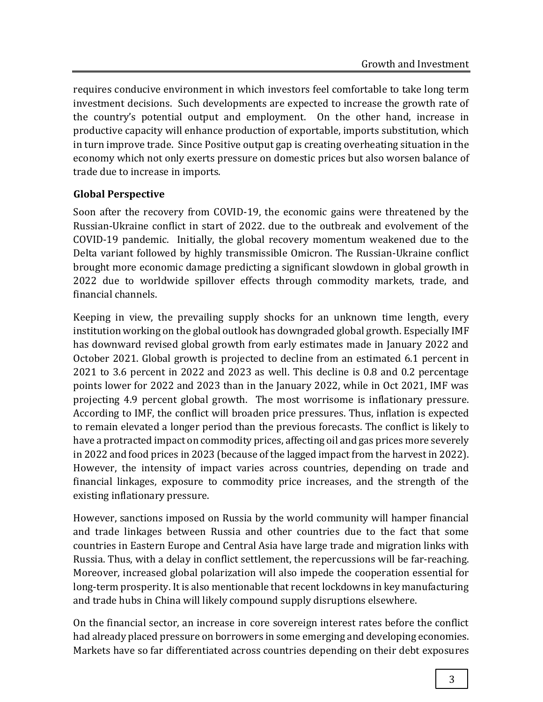requires conducive environment in which investors feel comfortable to take long term investment decisions. Such developments are expected to increase the growth rate of the country's potential output and employment. On the other hand, increase in productive capacity will enhance production of exportable, imports substitution, which in turn improve trade. Since Positive output gap is creating overheating situation in the economy which not only exerts pressure on domestic prices but also worsen balance of trade due to increase in imports.

## **Global Perspective**

Soon after the recovery from COVID-19, the economic gains were threatened by the Russian-Ukraine conflict in start of 2022. due to the outbreak and evolvement of the COVID-19 pandemic. Initially, the global recovery momentum weakened due to the Delta variant followed by highly transmissible Omicron. The Russian-Ukraine conflict brought more economic damage predicting a significant slowdown in global growth in 2022 due to worldwide spillover effects through commodity markets, trade, and financial channels.

Keeping in view, the prevailing supply shocks for an unknown time length, every institution working on the global outlook has downgraded global growth. Especially IMF has downward revised global growth from early estimates made in January 2022 and October 2021. Global growth is projected to decline from an estimated 6.1 percent in 2021 to 3.6 percent in 2022 and 2023 as well. This decline is 0.8 and 0.2 percentage points lower for 2022 and 2023 than in the January 2022, while in Oct 2021, IMF was projecting 4.9 percent global growth. The most worrisome is inflationary pressure. According to IMF, the conflict will broaden price pressures. Thus, inflation is expected to remain elevated a longer period than the previous forecasts. The conflict is likely to have a protracted impact on commodity prices, affecting oil and gas prices more severely in 2022 and food prices in 2023 (because of the lagged impact from the harvest in 2022). However, the intensity of impact varies across countries, depending on trade and financial linkages, exposure to commodity price increases, and the strength of the existing inflationary pressure.

However, sanctions imposed on Russia by the world community will hamper financial and trade linkages between Russia and other countries due to the fact that some countries in Eastern Europe and Central Asia have large trade and migration links with Russia. Thus, with a delay in conflict settlement, the repercussions will be far-reaching. Moreover, increased global polarization will also impede the cooperation essential for long-term prosperity. It is also mentionable that recent lockdowns in key manufacturing and trade hubs in China will likely compound supply disruptions elsewhere.

On the financial sector, an increase in core sovereign interest rates before the conflict had already placed pressure on borrowers in some emerging and developing economies. Markets have so far differentiated across countries depending on their debt exposures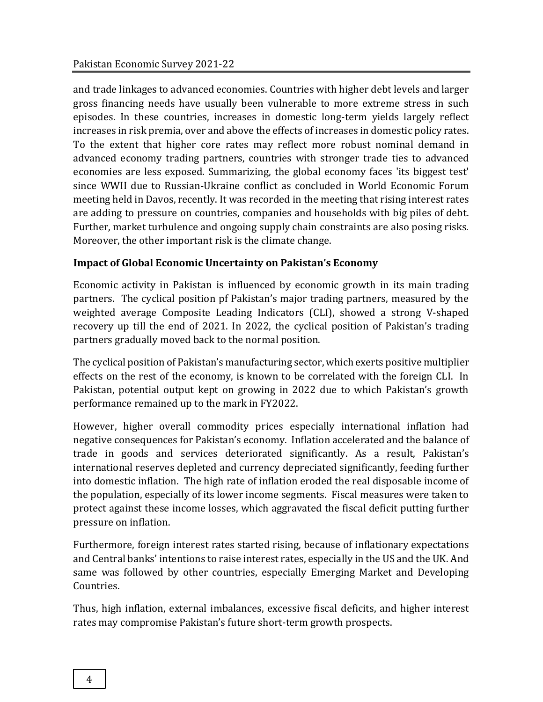and trade linkages to advanced economies. Countries with higher debt levels and larger gross financing needs have usually been vulnerable to more extreme stress in such episodes. In these countries, increases in domestic long-term yields largely reflect increases in risk premia, over and above the effects of increases in domestic policy rates. To the extent that higher core rates may reflect more robust nominal demand in advanced economy trading partners, countries with stronger trade ties to advanced economies are less exposed. Summarizing, the global economy faces 'its biggest test' since WWII due to Russian-Ukraine conflict as concluded in World Economic Forum meeting held in Davos, recently. It was recorded in the meeting that rising interest rates are adding to pressure on countries, companies and households with big piles of debt. Further, market turbulence and ongoing supply chain constraints are also posing risks. Moreover, the other important risk is the climate change.

# **Impact of Global Economic Uncertainty on Pakistan's Economy**

Economic activity in Pakistan is influenced by economic growth in its main trading partners. The cyclical position pf Pakistan's major trading partners, measured by the weighted average Composite Leading Indicators (CLI), showed a strong V-shaped recovery up till the end of 2021. In 2022, the cyclical position of Pakistan's trading partners gradually moved back to the normal position.

The cyclical position of Pakistan's manufacturing sector, which exerts positive multiplier effects on the rest of the economy, is known to be correlated with the foreign CLI. In Pakistan, potential output kept on growing in 2022 due to which Pakistan's growth performance remained up to the mark in FY2022.

However, higher overall commodity prices especially international inflation had negative consequences for Pakistan's economy. Inflation accelerated and the balance of trade in goods and services deteriorated significantly. As a result, Pakistan's international reserves depleted and currency depreciated significantly, feeding further into domestic inflation. The high rate of inflation eroded the real disposable income of the population, especially of its lower income segments. Fiscal measures were taken to protect against these income losses, which aggravated the fiscal deficit putting further pressure on inflation.

Furthermore, foreign interest rates started rising, because of inflationary expectations and Central banks' intentions to raise interest rates, especially in the US and the UK. And same was followed by other countries, especially Emerging Market and Developing Countries.

Thus, high inflation, external imbalances, excessive fiscal deficits, and higher interest rates may compromise Pakistan's future short-term growth prospects.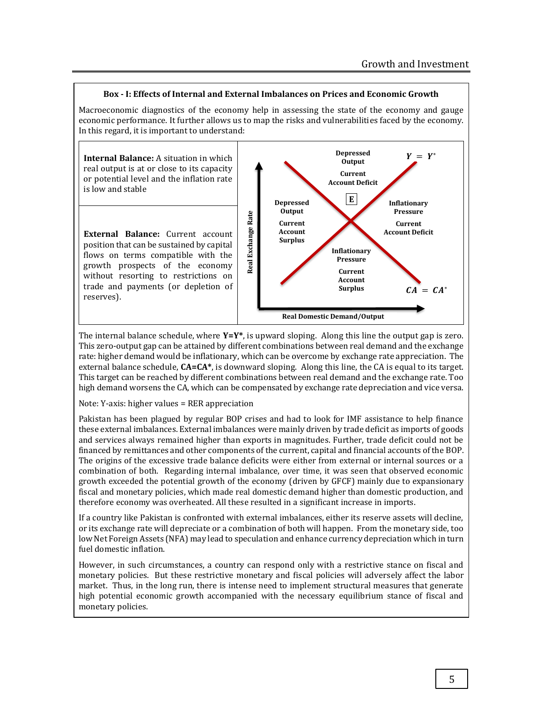#### **Box - I: Effects of Internal and External Imbalances on Prices and Economic Growth**

Macroeconomic diagnostics of the economy help in assessing the state of the economy and gauge economic performance. It further allows us to map the risks and vulnerabilities faced by the economy. In this regard, it is important to understand:

**Internal Balance:** A situation in which real output is at or close to its capacity or potential level and the inflation rate is low and stable

**External Balance:** Current account position that can be sustained by capital flows on terms compatible with the growth prospects of the economy without resorting to restrictions on trade and payments (or depletion of reserves).



The internal balance schedule, where **Y=Y\***, is upward sloping. Along this line the output gap is zero. This zero-output gap can be attained by different combinations between real demand and the exchange rate: higher demand would be inflationary, which can be overcome by exchange rate appreciation. The external balance schedule, **CA=CA\***, is downward sloping. Along this line, the CA is equal to its target. This target can be reached by different combinations between real demand and the exchange rate. Too high demand worsens the CA, which can be compensated by exchange rate depreciation and vice versa.

Note: Y‐axis: higher values = RER appreciation

Pakistan has been plagued by regular BOP crises and had to look for IMF assistance to help finance these external imbalances. External imbalances were mainly driven by trade deficit as imports of goods and services always remained higher than exports in magnitudes. Further, trade deficit could not be financed by remittances and other components of the current, capital and financial accounts of the BOP. The origins of the excessive trade balance deficits were either from external or internal sources or a combination of both. Regarding internal imbalance, over time, it was seen that observed economic growth exceeded the potential growth of the economy (driven by GFCF) mainly due to expansionary fiscal and monetary policies, which made real domestic demand higher than domestic production, and therefore economy was overheated. All these resulted in a significant increase in imports.

If a country like Pakistan is confronted with external imbalances, either its reserve assets will decline, or its exchange rate will depreciate or a combination of both will happen. From the monetary side, too low Net Foreign Assets (NFA) may lead to speculation and enhance currency depreciation which in turn fuel domestic inflation.

However, in such circumstances, a country can respond only with a restrictive stance on fiscal and monetary policies. But these restrictive monetary and fiscal policies will adversely affect the labor market. Thus, in the long run, there is intense need to implement structural measures that generate high potential economic growth accompanied with the necessary equilibrium stance of fiscal and monetary policies.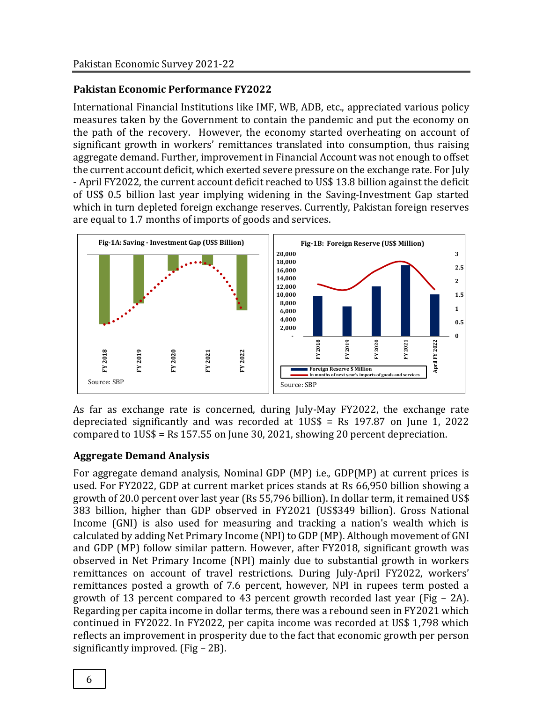### **Pakistan Economic Performance FY2022**

International Financial Institutions like IMF, WB, ADB, etc., appreciated various policy measures taken by the Government to contain the pandemic and put the economy on the path of the recovery. However, the economy started overheating on account of significant growth in workers' remittances translated into consumption, thus raising aggregate demand. Further, improvement in Financial Account was not enough to offset the current account deficit, which exerted severe pressure on the exchange rate. For July - April FY2022, the current account deficit reached to US\$ 13.8 billion against the deficit of US\$ 0.5 billion last year implying widening in the Saving-Investment Gap started which in turn depleted foreign exchange reserves. Currently, Pakistan foreign reserves are equal to 1.7 months of imports of goods and services.



As far as exchange rate is concerned, during July-May FY2022, the exchange rate depreciated significantly and was recorded at  $1US\$  = Rs 197.87 on June 1, 2022 compared to 1US\$ = Rs 157.55 on June 30, 2021, showing 20 percent depreciation.

## **Aggregate Demand Analysis**

For aggregate demand analysis, Nominal GDP (MP) i.e., GDP(MP) at current prices is used. For FY2022, GDP at current market prices stands at Rs 66,950 billion showing a growth of 20.0 percent over last year (Rs 55,796 billion). In dollar term, it remained US\$ 383 billion, higher than GDP observed in FY2021 (US\$349 billion). Gross National Income (GNI) is also used for measuring and tracking a nation's wealth which is calculated by adding Net Primary Income (NPI) to GDP (MP). Although movement of GNI and GDP (MP) follow similar pattern. However, after FY2018, significant growth was observed in Net Primary Income (NPI) mainly due to substantial growth in workers remittances on account of travel restrictions. During July-April FY2022, workers' remittances posted a growth of 7.6 percent, however, NPI in rupees term posted a growth of 13 percent compared to 43 percent growth recorded last year (Fig – 2A). Regarding per capita income in dollar terms, there was a rebound seen in FY2021 which continued in FY2022. In FY2022, per capita income was recorded at US\$ 1,798 which reflects an improvement in prosperity due to the fact that economic growth per person **Example 12 Figure 12 Figure 12 Figure 12 Figure 12 Figure 12 Figure 12 Figure 12 Figure 12 Figure 12 Figure 12 Figure 12 Figure 12 Figure 12 Figure 12 Figure 12 Figure 12 Figure 12 Figu**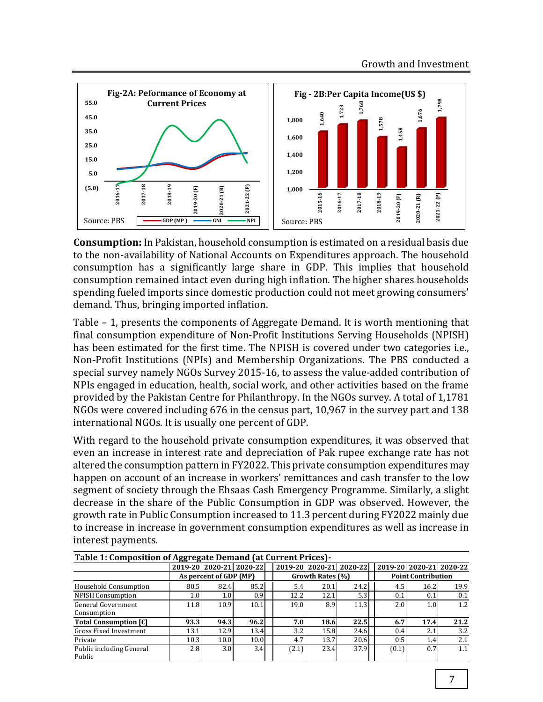

**Consumption:** In Pakistan, household consumption is estimated on a residual basis due to the non-availability of National Accounts on Expenditures approach. The household consumption has a significantly large share in GDP. This implies that household consumption remained intact even during high inflation. The higher shares households spending fueled imports since domestic production could not meet growing consumers' demand. Thus, bringing imported inflation.

Table – 1, presents the components of Aggregate Demand. It is worth mentioning that final consumption expenditure of Non-Profit Institutions Serving Households (NPISH) has been estimated for the first time. The NPISH is covered under two categories i.e., Non-Profit Institutions (NPIs) and Membership Organizations. The PBS conducted a special survey namely NGOs Survey 2015-16, to assess the value-added contribution of NPIs engaged in education, health, social work, and other activities based on the frame provided by the Pakistan Centre for Philanthropy. In the NGOs survey. A total of 1,1781 NGOs were covered including 676 in the census part, 10,967 in the survey part and 138 international NGOs. It is usually one percent of GDP.

With regard to the household private consumption expenditures, it was observed that even an increase in interest rate and depreciation of Pak rupee exchange rate has not altered the consumption pattern in FY2022. This private consumption expenditures may happen on account of an increase in workers' remittances and cash transfer to the low segment of society through the Ehsaas Cash Emergency Programme. Similarly, a slight decrease in the share of the Public Consumption in GDP was observed. However, the growth rate in Public Consumption increased to 11.3 percent during FY2022 mainly due to increase in increase in government consumption expenditures as well as increase in interest payments.

| Table 1: Composition of Aggregate Demand (at Current Prices)- |                        |                  |                         |  |       |                  |                         |  |                           |                  |                         |  |
|---------------------------------------------------------------|------------------------|------------------|-------------------------|--|-------|------------------|-------------------------|--|---------------------------|------------------|-------------------------|--|
|                                                               |                        |                  | 2019-20 2020-21 2020-22 |  |       |                  | 2019-20 2020-21 2020-22 |  |                           |                  | 2019-20 2020-21 2020-22 |  |
|                                                               | As percent of GDP (MP) |                  |                         |  |       | Growth Rates (%) |                         |  | <b>Point Contribution</b> |                  |                         |  |
| <b>Household Consumption</b>                                  | 80.5                   | 82.4             | 85.2                    |  | 5.4   | 20.1             | 24.2                    |  | 4.5                       | 16.2             | 19.9                    |  |
| <b>NPISH Consumption</b>                                      | 1.0 <sub>l</sub>       | 1.0 <sub>l</sub> | 0.9                     |  | 12.2  | 12.1             | 5.3                     |  | 0.1                       | 0.1              | 0.1                     |  |
| General Government<br>Consumption                             | 11.8                   | 10.9             | 10.1                    |  | 19.0  | 8.9              | 11.3                    |  | 2.0                       | 1.0              | 1.2                     |  |
| <b>Total Consumption [C]</b>                                  | 93.3                   | 94.3             | 96.2                    |  | 7.0   | 18.6             | 22.5                    |  | 6.7                       | 17.4             | 21.2                    |  |
| Gross Fixed Investment                                        | 13.1                   | 12.9             | 13.4                    |  | 3.2   | 15.8             | 24.6                    |  | 0.4                       | 2.1              | 3.2                     |  |
| Private                                                       | 10.3                   | 10.0             | 10.0                    |  | 4.7   | 13.7             | 20.6                    |  | 0.5                       | 1.4 <sub>1</sub> | 2.1                     |  |
| Public including General<br>Public                            | 2.8                    | 3.0 <sub>l</sub> | 3.4                     |  | (2.1) | 23.4             | 37.9                    |  | (0.1)                     | 0.7              | 1.1                     |  |

**Table 1: Composition of Aggregate Demand (at Current Prices)-**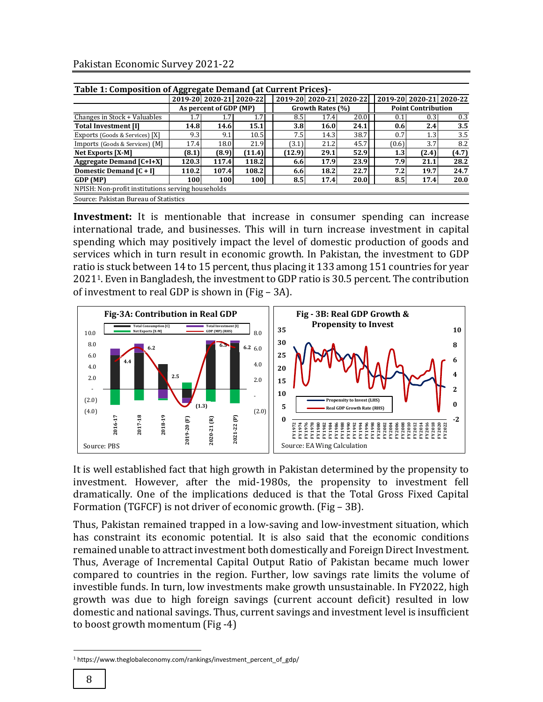|  | Pakistan Economic Survey 2021-22 |  |  |
|--|----------------------------------|--|--|
|--|----------------------------------|--|--|

| Table 1: Composition of Aggregate Demand (at Current Prices) - |       |                        |                         |  |        |                  |                         |  |                           |       |                         |
|----------------------------------------------------------------|-------|------------------------|-------------------------|--|--------|------------------|-------------------------|--|---------------------------|-------|-------------------------|
|                                                                |       |                        | 2019-20 2020-21 2020-22 |  |        |                  | 2019-20 2020-21 2020-22 |  |                           |       | 2019-20 2020-21 2020-22 |
|                                                                |       | As percent of GDP (MP) |                         |  |        | Growth Rates (%) |                         |  | <b>Point Contribution</b> |       |                         |
| Changes in Stock + Valuables                                   |       |                        |                         |  | 8.5    | 17.4             | 20.0                    |  | 0.1                       | 0.31  | 0.3                     |
| <b>Total Investment [I]</b>                                    | 14.8  | 14.6                   | 15.1                    |  | 3.8    | 16.0             | 24.1                    |  | 0.6                       | 2.4   | 3.5                     |
| Exports (Goods & Services) [X]                                 | 9.3   | 9.1                    | 10.5                    |  | 7.5    | 14.3             | 38.7                    |  | 0.7                       | 1.3   | 3.5                     |
| Imports (Goods & Services) (M]                                 | 17.4  | 18.0                   | 21.9                    |  | (3.1)  | 21.2             | 45.7                    |  | (0.6)                     | 3.7   | 8.2                     |
| <b>Net Exports [X-M]</b>                                       | (8.1) | (8.9)                  | (11.4)                  |  | (12.9) | 29.1             | 52.9                    |  | 1.3                       | (2.4) | (4.7)                   |
| <b>Aggregate Demand [C+I+X]</b>                                | 120.3 | 117.4                  | 118.2                   |  | 6.6    | 17.9             | 23.9                    |  | 7.9                       | 21.1  | 28.2                    |
| Domestic Demand [C + I]                                        | 110.2 | 107.4                  | 108.2                   |  | 6.6    | 18.2             | 22.7                    |  | 7.2                       | 19.7  | 24.7                    |
| GDP (MP)                                                       | 100   | 100                    | 100                     |  | 8.5    | 17.4             | 20.0                    |  | 8.5                       | 17.4  | 20.0                    |
| NPISH: Non-profit institutions serving households              |       |                        |                         |  |        |                  |                         |  |                           |       |                         |
| Source: Pakistan Bureau of Statistics                          |       |                        |                         |  |        |                  |                         |  |                           |       |                         |

**Investment:** It is mentionable that increase in consumer spending can increase international trade, and businesses. This will in turn increase investment in capital spending which may positively impact the level of domestic production of goods and services which in turn result in economic growth. In Pakistan, the investment to GDP ratio is stuck between 14 to 15 percent, thus placing it 133 among 151 countries for year 20211. Even in Bangladesh, the investment to GDP ratio is 30.5 percent. The contribution of investment to real GDP is shown in (Fig – 3A).



It is well established fact that high growth in Pakistan determined by the propensity to investment. However, after the mid-1980s, the propensity to investment fell dramatically. One of the implications deduced is that the Total Gross Fixed Capital Formation (TGFCF) is not driver of economic growth. (Fig – 3B).

Thus, Pakistan remained trapped in a low-saving and low-investment situation, which has constraint its economic potential. It is also said that the economic conditions remained unable to attract investment both domestically and Foreign Direct Investment. Thus, Average of Incremental Capital Output Ratio of Pakistan became much lower compared to countries in the region. Further, low savings rate limits the volume of investible funds. In turn, low investments make growth unsustainable. In FY2022, high growth was due to high foreign savings (current account deficit) resulted in low domestic and national savings. Thus, current savings and investment level is insufficient to boost growth momentum (Fig -4)

l

<sup>1</sup> https://www.theglobaleconomy.com/rankings/investment\_percent\_of\_gdp/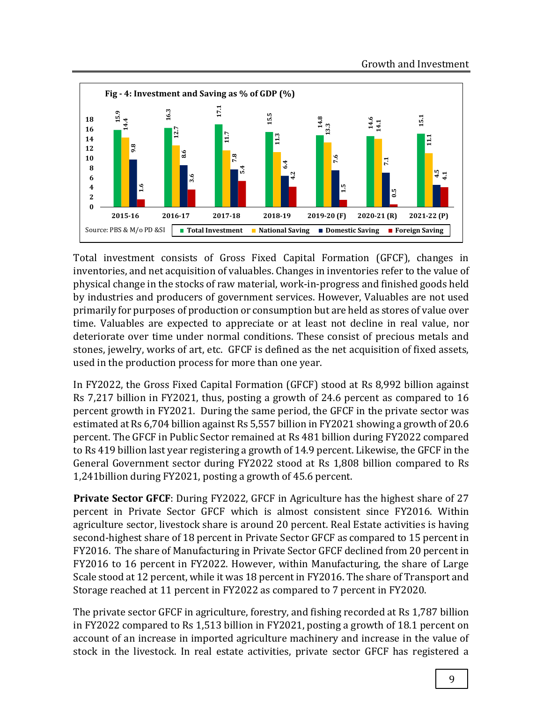

Total investment consists of Gross Fixed Capital Formation (GFCF), changes in inventories, and net acquisition of valuables. Changes in inventories refer to the value of physical change in the stocks of raw material, work-in-progress and finished goods held by industries and producers of government services. However, Valuables are not used primarily for purposes of production or consumption but are held as stores of value over time. Valuables are expected to appreciate or at least not decline in real value, nor deteriorate over time under normal conditions. These consist of precious metals and stones, jewelry, works of art, etc. GFCF is defined as the net acquisition of fixed assets, used in the production process for more than one year.

In FY2022, the Gross Fixed Capital Formation (GFCF) stood at Rs 8,992 billion against Rs 7,217 billion in FY2021, thus, posting a growth of 24.6 percent as compared to 16 percent growth in FY2021. During the same period, the GFCF in the private sector was estimated at Rs 6,704 billion against Rs 5,557 billion in FY2021 showing a growth of 20.6 percent. The GFCF in Public Sector remained at Rs 481 billion during FY2022 compared to Rs 419 billion last year registering a growth of 14.9 percent. Likewise, the GFCF in the General Government sector during FY2022 stood at Rs 1,808 billion compared to Rs 1,241billion during FY2021, posting a growth of 45.6 percent.

**Private Sector GFCF**: During FY2022, GFCF in Agriculture has the highest share of 27 percent in Private Sector GFCF which is almost consistent since FY2016. Within agriculture sector, livestock share is around 20 percent. Real Estate activities is having second-highest share of 18 percent in Private Sector GFCF as compared to 15 percent in FY2016. The share of Manufacturing in Private Sector GFCF declined from 20 percent in FY2016 to 16 percent in FY2022. However, within Manufacturing, the share of Large Scale stood at 12 percent, while it was 18 percent in FY2016. The share of Transport and Storage reached at 11 percent in FY2022 as compared to 7 percent in FY2020.

The private sector GFCF in agriculture, forestry, and fishing recorded at Rs 1,787 billion in FY2022 compared to Rs 1,513 billion in FY2021, posting a growth of 18.1 percent on account of an increase in imported agriculture machinery and increase in the value of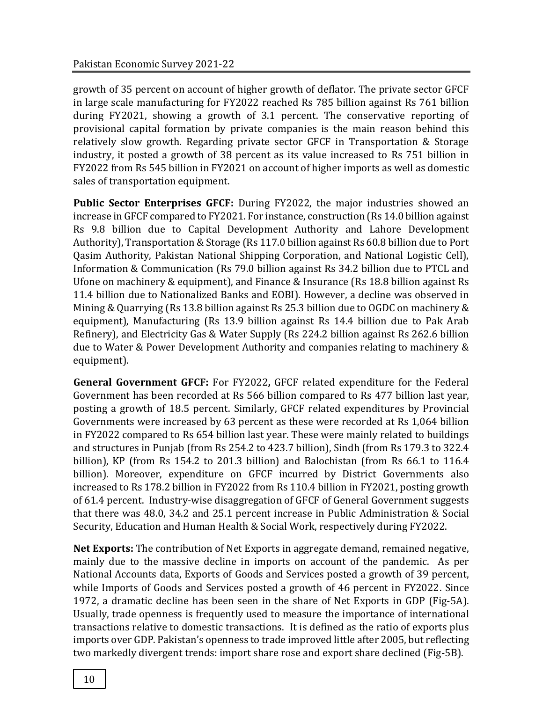growth of 35 percent on account of higher growth of deflator. The private sector GFCF in large scale manufacturing for FY2022 reached Rs 785 billion against Rs 761 billion during FY2021, showing a growth of 3.1 percent. The conservative reporting of provisional capital formation by private companies is the main reason behind this relatively slow growth. Regarding private sector GFCF in Transportation & Storage industry, it posted a growth of 38 percent as its value increased to Rs 751 billion in FY2022 from Rs 545 billion in FY2021 on account of higher imports as well as domestic sales of transportation equipment.

**Public Sector Enterprises GFCF:** During FY2022, the major industries showed an increase in GFCF compared to FY2021. For instance, construction (Rs 14.0 billion against Rs 9.8 billion due to Capital Development Authority and Lahore Development Authority), Transportation & Storage (Rs 117.0 billion against Rs 60.8 billion due to Port Qasim Authority, Pakistan National Shipping Corporation, and National Logistic Cell), Information & Communication (Rs 79.0 billion against Rs 34.2 billion due to PTCL and Ufone on machinery & equipment), and Finance & Insurance (Rs 18.8 billion against Rs 11.4 billion due to Nationalized Banks and EOBI). However, a decline was observed in Mining & Quarrying (Rs 13.8 billion against Rs 25.3 billion due to OGDC on machinery & equipment), Manufacturing (Rs 13.9 billion against Rs 14.4 billion due to Pak Arab Refinery), and Electricity Gas & Water Supply (Rs 224.2 billion against Rs 262.6 billion due to Water & Power Development Authority and companies relating to machinery & equipment).

**General Government GFCF:** For FY2022**,** GFCF related expenditure for the Federal Government has been recorded at Rs 566 billion compared to Rs 477 billion last year, posting a growth of 18.5 percent. Similarly, GFCF related expenditures by Provincial Governments were increased by 63 percent as these were recorded at Rs 1,064 billion in FY2022 compared to Rs 654 billion last year. These were mainly related to buildings and structures in Punjab (from Rs 254.2 to 423.7 billion), Sindh (from Rs 179.3 to 322.4 billion), KP (from Rs 154.2 to 201.3 billion) and Balochistan (from Rs 66.1 to 116.4 billion). Moreover, expenditure on GFCF incurred by District Governments also increased to Rs 178.2 billion in FY2022 from Rs 110.4 billion in FY2021, posting growth of 61.4 percent. Industry-wise disaggregation of GFCF of General Government suggests that there was 48.0, 34.2 and 25.1 percent increase in Public Administration & Social Security, Education and Human Health & Social Work, respectively during FY2022.

**Net Exports:** The contribution of Net Exports in aggregate demand, remained negative, mainly due to the massive decline in imports on account of the pandemic. As per National Accounts data, Exports of Goods and Services posted a growth of 39 percent, while Imports of Goods and Services posted a growth of 46 percent in FY2022. Since 1972, a dramatic decline has been seen in the share of Net Exports in GDP (Fig-5A). Usually, trade openness is frequently used to measure the importance of international transactions relative to domestic transactions. It is defined as the ratio of exports plus imports over GDP. Pakistan's openness to trade improved little after 2005, but reflecting two markedly divergent trends: import share rose and export share declined (Fig-5B).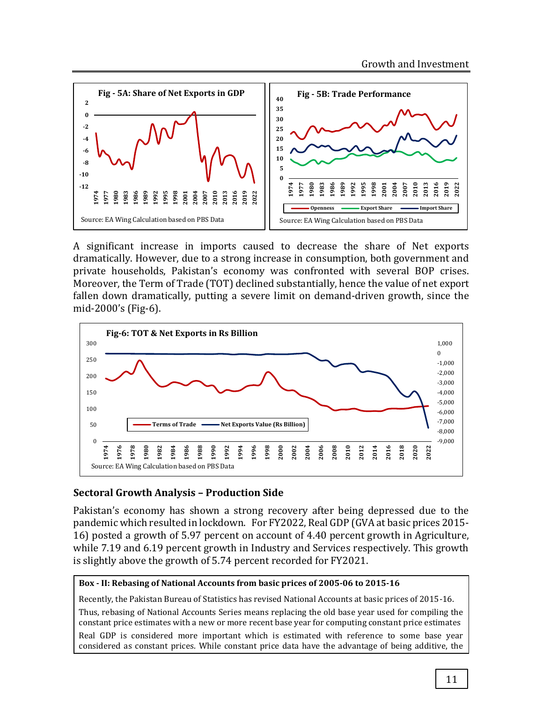

A significant increase in imports caused to decrease the share of Net exports dramatically. However, due to a strong increase in consumption, both government and private households, Pakistan's economy was confronted with several BOP crises. Moreover, the Term of Trade (TOT) declined substantially, hence the value of net export fallen down dramatically, putting a severe limit on demand-driven growth, since the mid-2000's (Fig-6).



## **Sectoral Growth Analysis – Production Side**

Pakistan's economy has shown a strong recovery after being depressed due to the pandemic which resulted in lockdown. For FY2022, Real GDP (GVA at basic prices 2015- 16) posted a growth of 5.97 percent on account of 4.40 percent growth in Agriculture, while 7.19 and 6.19 percent growth in Industry and Services respectively. This growth is slightly above the growth of 5.74 percent recorded for FY2021.

#### **Box - II: Rebasing of National Accounts from basic prices of 2005-06 to 2015-16**

Recently, the Pakistan Bureau of Statistics has revised National Accounts at basic prices of 2015-16. Thus, rebasing of National Accounts Series means replacing the old base year used for compiling the constant price estimates with a new or more recent base year for computing constant price estimates Real GDP is considered more important which is estimated with reference to some base year considered as constant prices. While constant price data have the advantage of being additive, the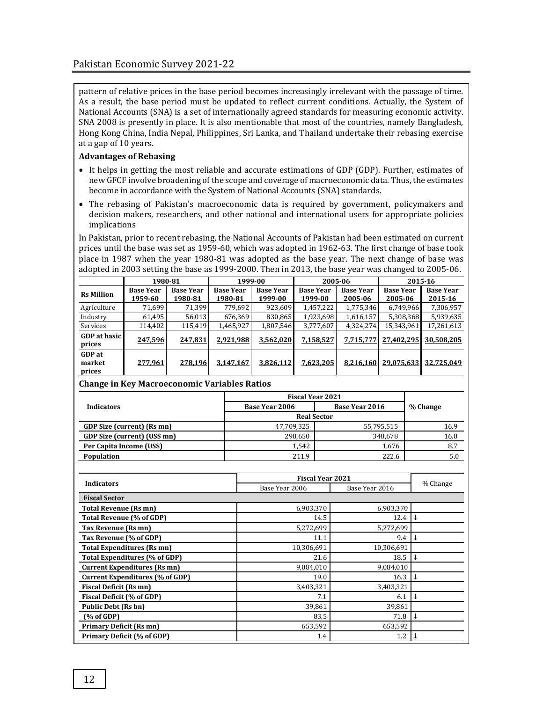pattern of relative prices in the base period becomes increasingly irrelevant with the passage of time. As a result, the base period must be updated to reflect current conditions. Actually, the System of National Accounts (SNA) is a set of internationally agreed standards for measuring economic activity. SNA 2008 is presently in place. It is also mentionable that most of the countries, namely Bangladesh, Hong Kong China, India Nepal, Philippines, Sri Lanka, and Thailand undertake their rebasing exercise at a gap of 10 years.

#### **Advantages of Rebasing**

- It helps in getting the most reliable and accurate estimations of GDP (GDP). Further, estimates of new GFCF involve broadening of the scope and coverage of macroeconomic data. Thus, the estimates become in accordance with the System of National Accounts (SNA) standards.
- The rebasing of Pakistan's macroeconomic data is required by government, policymakers and decision makers, researchers, and other national and international users for appropriate policies implications

In Pakistan, prior to recent rebasing, the National Accounts of Pakistan had been estimated on current prices until the base was set as 1959-60, which was adopted in 1962-63. The first change of base took place in 1987 when the year 1980-81 was adopted as the base year. The next change of base was adopted in 2003 setting the base as 1999-2000. Then in 2013, the base year was changed to 2005-06.

|                                   | 1980-81                     |                             | 1999-00                     |                             | 2005-06                     |                             | 2015-16                     |                             |  |
|-----------------------------------|-----------------------------|-----------------------------|-----------------------------|-----------------------------|-----------------------------|-----------------------------|-----------------------------|-----------------------------|--|
| <b>Rs Million</b>                 | <b>Base Year</b><br>1959-60 | <b>Base Year</b><br>1980-81 | <b>Base Year</b><br>1980-81 | <b>Base Year</b><br>1999-00 | <b>Base Year</b><br>1999-00 | <b>Base Year</b><br>2005-06 | <b>Base Year</b><br>2005-06 | <b>Base Year</b><br>2015-16 |  |
| Agriculture                       | 71,699                      | 71.399                      | 779,692                     | 923,609                     | 1,457,222                   | 1,775,346                   | 6,749,966                   | 7,306,957                   |  |
| Industry                          | 61.495                      | 56.013                      | 676.369                     | 830.865                     | 1,923,698                   | 1,616,157                   | 5,308,368                   | 5,939,635                   |  |
| Services                          | 114,402                     | 115,419                     | 1,465,927                   | 1,807,546                   | 3,777,607                   | 4,324,274                   | 15,343,961                  | 17,261,613                  |  |
| <b>GDP</b> at basic<br>prices     | 247.596                     | 247.831                     | 2.921.988                   | 3.562.020                   | 7.158.527                   | 7.715.777                   | 27.402.295                  | 30.508.205                  |  |
| <b>GDP</b> at<br>market<br>prices | 277,961                     | 278,196                     | 3,147,167                   | 3,826,112                   | 7,623,205                   | 8,216,160                   | 29,075,633                  | 32,725,049                  |  |

#### **Change in Key Macroeconomic Variables Ratios**

|                              | <b>Fiscal Year 2021</b> |                       |          |
|------------------------------|-------------------------|-----------------------|----------|
| <b>Indicators</b>            | Base Year 2006          | <b>Base Year 2016</b> | % Change |
|                              | <b>Real Sector</b>      |                       |          |
| GDP Size (current) (Rs mn)   | 47,709,325              | 55,795,515            | 16.9     |
| GDP Size (current) (US\$ mn) | 298,650                 | 348,678               | 16.8     |
| Per Capita Income (US\$)     | 1.542                   | 1.676                 | 8.7      |
| Population                   | 211.9                   | 222.6                 | 5.0      |

|                                        | <b>Fiscal Year 2021</b> |                |          |  |
|----------------------------------------|-------------------------|----------------|----------|--|
| <b>Indicators</b>                      | Base Year 2006          | Base Year 2016 | % Change |  |
| <b>Fiscal Sector</b>                   |                         |                |          |  |
| <b>Total Revenue (Rs mn)</b>           | 6,903,370               | 6,903,370      |          |  |
| Total Revenue (% of GDP)               | 14.5                    | 12.4           |          |  |
| Tax Revenue (Rs mn)                    | 5,272,699               | 5,272,699      |          |  |
| Tax Revenue (% of GDP)                 | 11.1                    | 9.4            |          |  |
| <b>Total Expenditures (Rs mn)</b>      | 10.306.691              | 10.306.691     |          |  |
| Total Expenditures (% of GDP)          | 21.6                    | 18.5           |          |  |
| <b>Current Expenditures (Rs mn)</b>    | 9,084,010               | 9,084,010      |          |  |
| <b>Current Expenditures (% of GDP)</b> | 19.0                    | 16.3           |          |  |
| <b>Fiscal Deficit (Rs mn)</b>          | 3,403,321               | 3,403,321      |          |  |
| <b>Fiscal Deficit (% of GDP)</b>       | 7.1                     | 6.1            |          |  |
| <b>Public Debt (Rs bn)</b>             | 39,861                  | 39,861         |          |  |
| (% of GDP)                             | 83.5                    | 71.8           |          |  |
| <b>Primary Deficit (Rs mn)</b>         | 653,592                 | 653,592        |          |  |
| Primary Deficit (% of GDP)             | 1.4                     | 1.2            |          |  |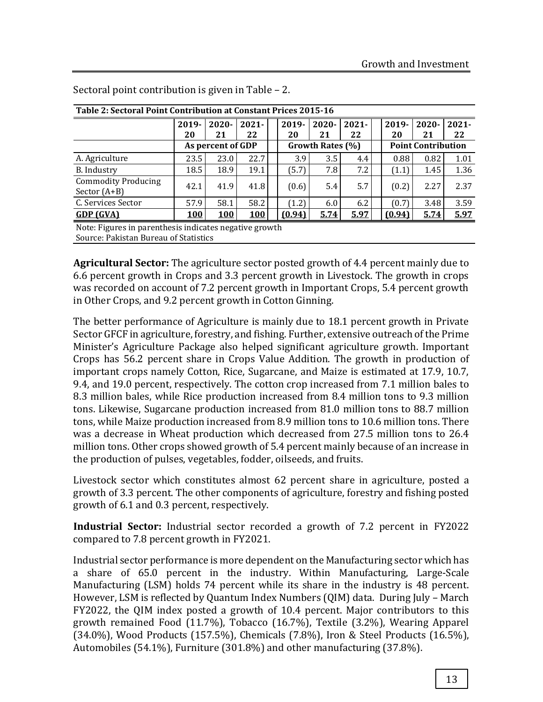| Table 2: Sectoral Point Contribution at Constant Prices 2015-16 |                   |            |            |  |                  |          |          |  |                           |          |          |
|-----------------------------------------------------------------|-------------------|------------|------------|--|------------------|----------|----------|--|---------------------------|----------|----------|
|                                                                 | 2019-             | $2020 -$   | $2021 -$   |  | $2019 -$         | $2020 -$ | $2021 -$ |  | 2019-                     | $2020 -$ | $2021 -$ |
|                                                                 | 20                | 21         | 22         |  | 20               | 21       | 22       |  | 20                        | 21       | 22       |
|                                                                 | As percent of GDP |            |            |  | Growth Rates (%) |          |          |  | <b>Point Contribution</b> |          |          |
| A. Agriculture                                                  | 23.5              | 23.0       | 22.7       |  | 3.9              | 3.5      | 4.4      |  | 0.88                      | 0.82     | 1.01     |
| B. Industry                                                     | 18.5              | 18.9       | 19.1       |  | (5.7)            | 7.8      | 7.2      |  | (1.1)                     | 1.45     | 1.36     |
| <b>Commodity Producing</b><br>Sector $(A+B)$                    | 42.1              | 41.9       | 41.8       |  | (0.6)            | 5.4      | 5.7      |  | (0.2)                     | 2.27     | 2.37     |
| C. Services Sector                                              | 57.9              | 58.1       | 58.2       |  | (1.2)            | 6.0      | 6.2      |  | (0.7)                     | 3.48     | 3.59     |
| GDP(GVA)                                                        | <b>100</b>        | <b>100</b> | <b>100</b> |  | (0.94)           | 5.74     | 5.97     |  | (0.94)                    | 5.74     | 5.97     |
| Note: Figures in parenthesis indicates negative growth          |                   |            |            |  |                  |          |          |  |                           |          |          |

Sectoral point contribution is given in Table – 2.

Source: Pakistan Bureau of Statistics

**Agricultural Sector:** The agriculture sector posted growth of 4.4 percent mainly due to 6.6 percent growth in Crops and 3.3 percent growth in Livestock. The growth in crops was recorded on account of 7.2 percent growth in Important Crops, 5.4 percent growth in Other Crops, and 9.2 percent growth in Cotton Ginning.

The better performance of Agriculture is mainly due to 18.1 percent growth in Private Sector GFCF in agriculture, forestry, and fishing. Further, extensive outreach of the Prime Minister's Agriculture Package also helped significant agriculture growth. Important Crops has 56.2 percent share in Crops Value Addition. The growth in production of important crops namely Cotton, Rice, Sugarcane, and Maize is estimated at 17.9, 10.7, 9.4, and 19.0 percent, respectively. The cotton crop increased from 7.1 million bales to 8.3 million bales, while Rice production increased from 8.4 million tons to 9.3 million tons. Likewise, Sugarcane production increased from 81.0 million tons to 88.7 million tons, while Maize production increased from 8.9 million tons to 10.6 million tons. There was a decrease in Wheat production which decreased from 27.5 million tons to 26.4 million tons. Other crops showed growth of 5.4 percent mainly because of an increase in the production of pulses, vegetables, fodder, oilseeds, and fruits.

Livestock sector which constitutes almost 62 percent share in agriculture, posted a growth of 3.3 percent. The other components of agriculture, forestry and fishing posted growth of 6.1 and 0.3 percent, respectively.

**Industrial Sector:** Industrial sector recorded a growth of 7.2 percent in FY2022 compared to 7.8 percent growth in FY2021.

Industrial sector performance is more dependent on the Manufacturing sector which has a share of 65.0 percent in the industry. Within Manufacturing, Large-Scale Manufacturing (LSM) holds 74 percent while its share in the industry is 48 percent. However, LSM is reflected by Quantum Index Numbers (QIM) data. During July – March FY2022, the QIM index posted a growth of 10.4 percent. Major contributors to this growth remained Food (11.7%), Tobacco (16.7%), Textile (3.2%), Wearing Apparel (34.0%), Wood Products (157.5%), Chemicals (7.8%), Iron & Steel Products (16.5%), Automobiles (54.1%), Furniture (301.8%) and other manufacturing (37.8%).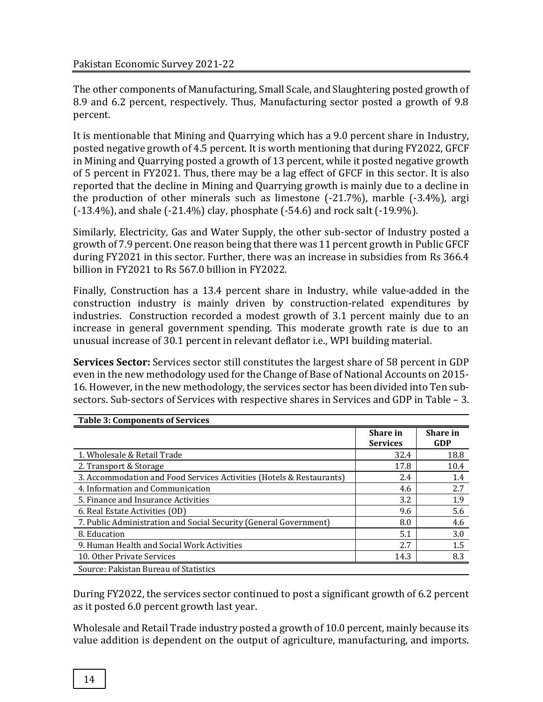The other components of Manufacturing, Small Scale, and Slaughtering posted growth of 8.9 and 6.2 percent, respectively. Thus, Manufacturing sector posted a growth of 9.8 percent.

It is mentionable that Mining and Quarrying which has a 9.0 percent share in Industry, posted negative growth of 4.5 percent. It is worth mentioning that during FY2022, GFCF in Mining and Quarrying posted a growth of 13 percent, while it posted negative growth of 5 percent in FY2021. Thus, there may be a lag effect of GFCF in this sector. It is also reported that the decline in Mining and Quarrying growth is mainly due to a decline in the production of other minerals such as limestone (-21.7%), marble (-3.4%), argi (-13.4%), and shale (-21.4%) clay, phosphate (-54.6) and rock salt (-19.9%).

Similarly, Electricity, Gas and Water Supply, the other sub-sector of Industry posted a growth of 7.9 percent. One reason being that there was 11 percent growth in Public GFCF during FY2021 in this sector. Further, there was an increase in subsidies from Rs 366.4 billion in FY2021 to Rs 567.0 billion in FY2022.

Finally, Construction has a 13.4 percent share in Industry, while value-added in the construction industry is mainly driven by construction-related expenditures by industries. Construction recorded a modest growth of 3.1 percent mainly due to an increase in general government spending. This moderate growth rate is due to an unusual increase of 30.1 percent in relevant deflator i.e., WPI building material.

**Services Sector:** Services sector still constitutes the largest share of 58 percent in GDP even in the new methodology used for the Change of Base of National Accounts on 2015- 16. However, in the new methodology, the services sector has been divided into Ten subsectors. Sub-sectors of Services with respective shares in Services and GDP in Table – 3.

| <b>Table 3: Components of Services</b>                               |                             |                 |
|----------------------------------------------------------------------|-----------------------------|-----------------|
|                                                                      | Share in<br><b>Services</b> | Share in<br>GDP |
| 1. Wholesale & Retail Trade                                          | 32.4                        | 18.8            |
| 2. Transport & Storage                                               | 17.8                        | 10.4            |
| 3. Accommodation and Food Services Activities (Hotels & Restaurants) | 2.4                         | 1.4             |
| 4. Information and Communication                                     | 4.6                         | 2.7             |
| 5. Finance and Insurance Activities                                  | 3.2                         | 1.9             |
| 6. Real Estate Activities (OD)                                       | 9.6                         | 5.6             |
| 7. Public Administration and Social Security (General Government)    | 8.0                         | 4.6             |
| 8. Education                                                         | 5.1                         | 3.0             |
| 9. Human Health and Social Work Activities                           | 2.7                         | 1.5             |
| 10. Other Private Services                                           | 14.3                        | 8.3             |
| Source: Pakistan Bureau of Statistics                                |                             |                 |

During FY2022, the services sector continued to post a significant growth of 6.2 percent as it posted 6.0 percent growth last year.

Wholesale and Retail Trade industry posted a growth of 10.0 percent, mainly because its value addition is dependent on the output of agriculture, manufacturing, and imports.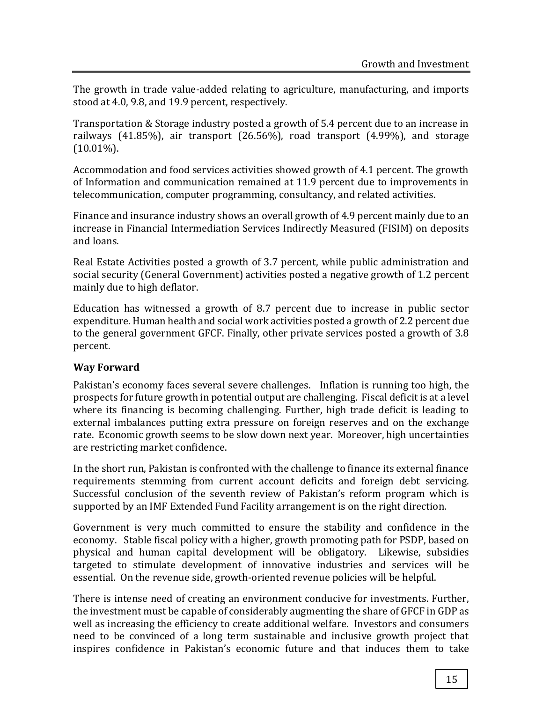The growth in trade value-added relating to agriculture, manufacturing, and imports stood at 4.0, 9.8, and 19.9 percent, respectively.

Transportation & Storage industry posted a growth of 5.4 percent due to an increase in railways (41.85%), air transport (26.56%), road transport (4.99%), and storage  $(10.01\%)$ .

Accommodation and food services activities showed growth of 4.1 percent. The growth of Information and communication remained at 11.9 percent due to improvements in telecommunication, computer programming, consultancy, and related activities.

Finance and insurance industry shows an overall growth of 4.9 percent mainly due to an increase in Financial Intermediation Services Indirectly Measured (FISIM) on deposits and loans.

Real Estate Activities posted a growth of 3.7 percent, while public administration and social security (General Government) activities posted a negative growth of 1.2 percent mainly due to high deflator.

Education has witnessed a growth of 8.7 percent due to increase in public sector expenditure. Human health and social work activities posted a growth of 2.2 percent due to the general government GFCF. Finally, other private services posted a growth of 3.8 percent.

# **Way Forward**

Pakistan's economy faces several severe challenges. Inflation is running too high, the prospects for future growth in potential output are challenging. Fiscal deficit is at a level where its financing is becoming challenging. Further, high trade deficit is leading to external imbalances putting extra pressure on foreign reserves and on the exchange rate. Economic growth seems to be slow down next year. Moreover, high uncertainties are restricting market confidence.

In the short run, Pakistan is confronted with the challenge to finance its external finance requirements stemming from current account deficits and foreign debt servicing. Successful conclusion of the seventh review of Pakistan's reform program which is supported by an IMF Extended Fund Facility arrangement is on the right direction.

Government is very much committed to ensure the stability and confidence in the economy. Stable fiscal policy with a higher, growth promoting path for PSDP, based on physical and human capital development will be obligatory. Likewise, subsidies targeted to stimulate development of innovative industries and services will be essential. On the revenue side, growth-oriented revenue policies will be helpful.

There is intense need of creating an environment conducive for investments. Further, the investment must be capable of considerably augmenting the share of GFCF in GDP as well as increasing the efficiency to create additional welfare. Investors and consumers need to be convinced of a long term sustainable and inclusive growth project that inspires confidence in Pakistan's economic future and that induces them to take